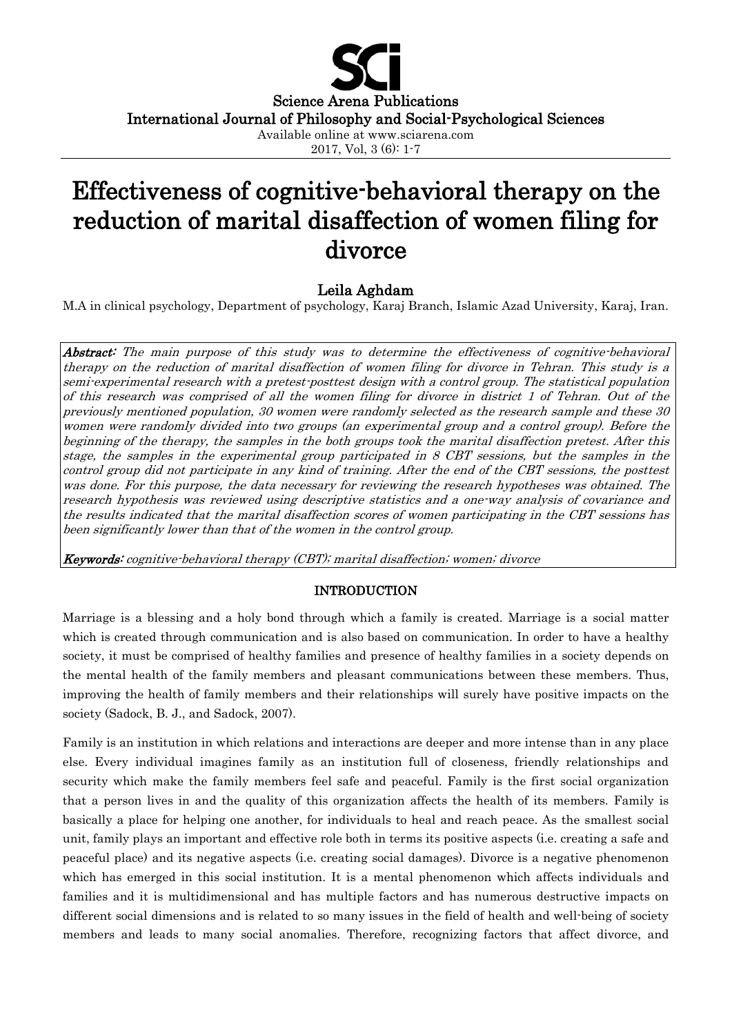

# Effectiveness of cognitive-behavioral therapy on the reduction of marital disaffection of women filing for divorce

# Leila Aghdam

M.A in clinical psychology, Department of psychology, Karaj Branch, Islamic Azad University, Karaj, Iran.

Abstract: The main purpose of this study was to determine the effectiveness of cognitive-behavioral therapy on the reduction of marital disaffection of women filing for divorce in Tehran. This study is a semi-experimental research with a pretest-posttest design with a control group. The statistical population of this research was comprised of all the women filing for divorce in district 1 of Tehran. Out of the previously mentioned population, 30 women were randomly selected as the research sample and these 30 women were randomly divided into two groups (an experimental group and a control group). Before the beginning of the therapy, the samples in the both groups took the marital disaffection pretest. After this stage, the samples in the experimental group participated in 8 CBT sessions, but the samples in the control group did not participate in any kind of training. After the end of the CBT sessions, the posttest was done. For this purpose, the data necessary for reviewing the research hypotheses was obtained. The research hypothesis was reviewed using descriptive statistics and a one-way analysis of covariance and the results indicated that the marital disaffection scores of women participating in the CBT sessions has been significantly lower than that of the women in the control group.

Keywords: cognitive-behavioral therapy (CBT); marital disaffection; women; divorce

## INTRODUCTION

Marriage is a blessing and a holy bond through which a family is created. Marriage is a social matter which is created through communication and is also based on communication. In order to have a healthy society, it must be comprised of healthy families and presence of healthy families in a society depends on the mental health of the family members and pleasant communications between these members. Thus, improving the health of family members and their relationships will surely have positive impacts on the society (Sadock, B. J., and Sadock, 2007).

Family is an institution in which relations and interactions are deeper and more intense than in any place else. Every individual imagines family as an institution full of closeness, friendly relationships and security which make the family members feel safe and peaceful. Family is the first social organization that a person lives in and the quality of this organization affects the health of its members. Family is basically a place for helping one another, for individuals to heal and reach peace. As the smallest social unit, family plays an important and effective role both in terms its positive aspects (i.e. creating a safe and peaceful place) and its negative aspects (i.e. creating social damages). Divorce is a negative phenomenon which has emerged in this social institution. It is a mental phenomenon which affects individuals and families and it is multidimensional and has multiple factors and has numerous destructive impacts on different social dimensions and is related to so many issues in the field of health and well-being of society members and leads to many social anomalies. Therefore, recognizing factors that affect divorce, and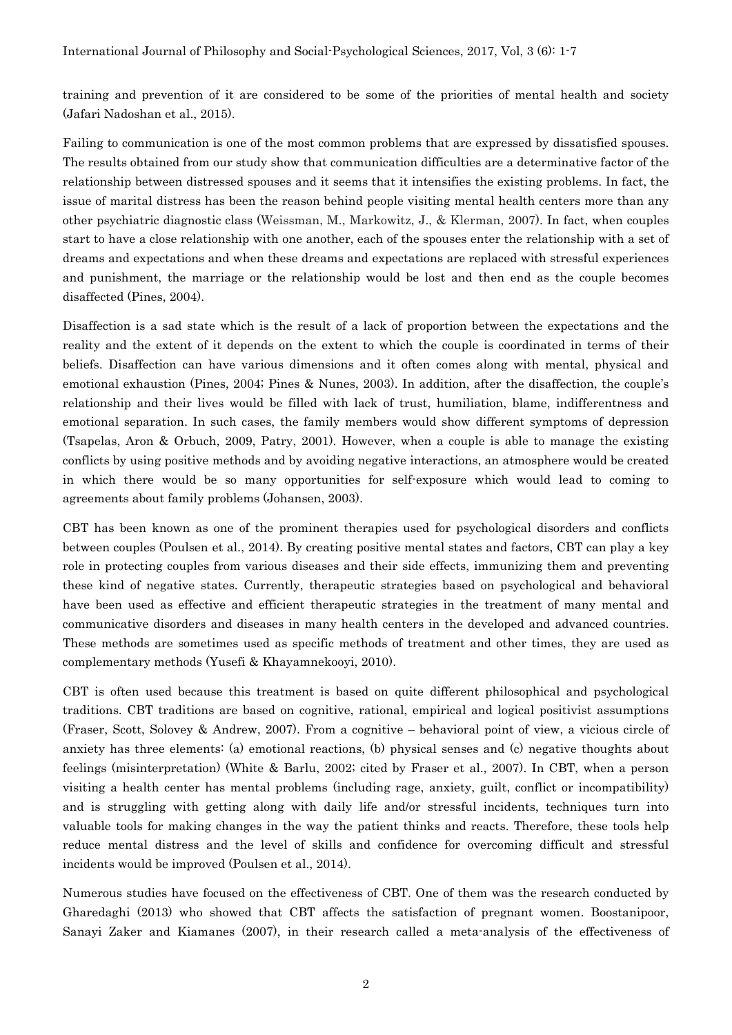training and prevention of it are considered to be some of the priorities of mental health and society (Jafari Nadoshan et al., 2015).

Failing to communication is one of the most common problems that are expressed by dissatisfied spouses. The results obtained from our study show that communication difficulties are a determinative factor of the relationship between distressed spouses and it seems that it intensifies the existing problems. In fact, the issue of marital distress has been the reason behind people visiting mental health centers more than any other psychiatric diagnostic class (Weissman, M., Markowitz, J., & Klerman, 2007). In fact, when couples start to have a close relationship with one another, each of the spouses enter the relationship with a set of dreams and expectations and when these dreams and expectations are replaced with stressful experiences and punishment, the marriage or the relationship would be lost and then end as the couple becomes disaffected (Pines, 2004).

Disaffection is a sad state which is the result of a lack of proportion between the expectations and the reality and the extent of it depends on the extent to which the couple is coordinated in terms of their beliefs. Disaffection can have various dimensions and it often comes along with mental, physical and emotional exhaustion (Pines, 2004; Pines & Nunes, 2003). In addition, after the disaffection, the couple's relationship and their lives would be filled with lack of trust, humiliation, blame, indifferentness and emotional separation. In such cases, the family members would show different symptoms of depression (Tsapelas, Aron & Orbuch, 2009, Patry, 2001). However, when a couple is able to manage the existing conflicts by using positive methods and by avoiding negative interactions, an atmosphere would be created in which there would be so many opportunities for self-exposure which would lead to coming to agreements about family problems (Johansen, 2003).

CBT has been known as one of the prominent therapies used for psychological disorders and conflicts between couples (Poulsen et al., 2014). By creating positive mental states and factors, CBT can play a key role in protecting couples from various diseases and their side effects, immunizing them and preventing these kind of negative states. Currently, therapeutic strategies based on psychological and behavioral have been used as effective and efficient therapeutic strategies in the treatment of many mental and communicative disorders and diseases in many health centers in the developed and advanced countries. These methods are sometimes used as specific methods of treatment and other times, they are used as complementary methods (Yusefi & Khayamnekooyi, 2010).

CBT is often used because this treatment is based on quite different philosophical and psychological traditions. CBT traditions are based on cognitive, rational, empirical and logical positivist assumptions (Fraser, Scott, Solovey & Andrew, 2007). From a cognitive – behavioral point of view, a vicious circle of anxiety has three elements: (a) emotional reactions, (b) physical senses and (c) negative thoughts about feelings (misinterpretation) (White & Barlu, 2002; cited by Fraser et al., 2007). In CBT, when a person visiting a health center has mental problems (including rage, anxiety, guilt, conflict or incompatibility) and is struggling with getting along with daily life and/or stressful incidents, techniques turn into valuable tools for making changes in the way the patient thinks and reacts. Therefore, these tools help reduce mental distress and the level of skills and confidence for overcoming difficult and stressful incidents would be improved (Poulsen et al., 2014).

Numerous studies have focused on the effectiveness of CBT. One of them was the research conducted by Gharedaghi (2013) who showed that CBT affects the satisfaction of pregnant women. Boostanipoor, Sanayi Zaker and Kiamanes (2007), in their research called a meta-analysis of the effectiveness of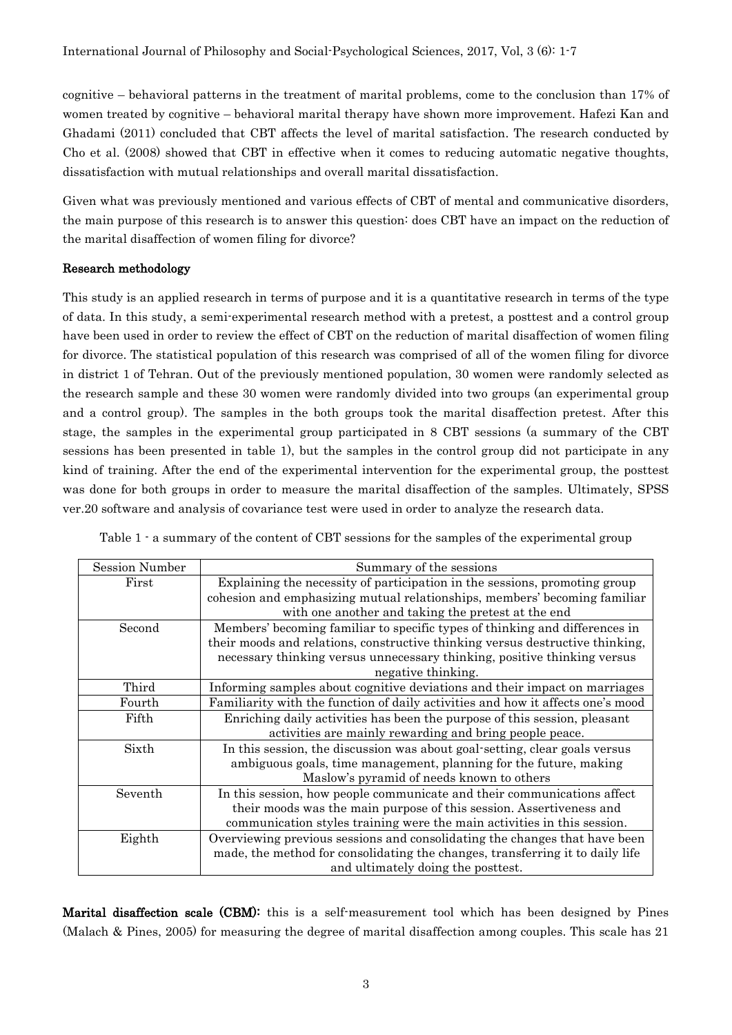cognitive – behavioral patterns in the treatment of marital problems, come to the conclusion than 17% of women treated by cognitive – behavioral marital therapy have shown more improvement. Hafezi Kan and Ghadami (2011) concluded that CBT affects the level of marital satisfaction. The research conducted by Cho et al. (2008) showed that CBT in effective when it comes to reducing automatic negative thoughts, dissatisfaction with mutual relationships and overall marital dissatisfaction.

Given what was previously mentioned and various effects of CBT of mental and communicative disorders, the main purpose of this research is to answer this question: does CBT have an impact on the reduction of the marital disaffection of women filing for divorce?

## Research methodology

This study is an applied research in terms of purpose and it is a quantitative research in terms of the type of data. In this study, a semi-experimental research method with a pretest, a posttest and a control group have been used in order to review the effect of CBT on the reduction of marital disaffection of women filing for divorce. The statistical population of this research was comprised of all of the women filing for divorce in district 1 of Tehran. Out of the previously mentioned population, 30 women were randomly selected as the research sample and these 30 women were randomly divided into two groups (an experimental group and a control group). The samples in the both groups took the marital disaffection pretest. After this stage, the samples in the experimental group participated in 8 CBT sessions (a summary of the CBT sessions has been presented in table 1), but the samples in the control group did not participate in any kind of training. After the end of the experimental intervention for the experimental group, the posttest was done for both groups in order to measure the marital disaffection of the samples. Ultimately, SPSS ver.20 software and analysis of covariance test were used in order to analyze the research data.

Table 1 - a summary of the content of CBT sessions for the samples of the experimental group

| <b>Session Number</b>                                                                     | Summary of the sessions                                                       |  |  |  |  |  |
|-------------------------------------------------------------------------------------------|-------------------------------------------------------------------------------|--|--|--|--|--|
| First                                                                                     | Explaining the necessity of participation in the sessions, promoting group    |  |  |  |  |  |
|                                                                                           | cohesion and emphasizing mutual relationships, members' becoming familiar     |  |  |  |  |  |
|                                                                                           | with one another and taking the pretest at the end                            |  |  |  |  |  |
| Second                                                                                    | Members' becoming familiar to specific types of thinking and differences in   |  |  |  |  |  |
|                                                                                           | their moods and relations, constructive thinking versus destructive thinking, |  |  |  |  |  |
|                                                                                           | necessary thinking versus unnecessary thinking, positive thinking versus      |  |  |  |  |  |
|                                                                                           | negative thinking.                                                            |  |  |  |  |  |
| Third                                                                                     | Informing samples about cognitive deviations and their impact on marriages    |  |  |  |  |  |
| Familiarity with the function of daily activities and how it affects one's mood<br>Fourth |                                                                               |  |  |  |  |  |
| Fifth                                                                                     | Enriching daily activities has been the purpose of this session, pleasant     |  |  |  |  |  |
|                                                                                           | activities are mainly rewarding and bring people peace.                       |  |  |  |  |  |
| Sixth                                                                                     | In this session, the discussion was about goal-setting, clear goals versus    |  |  |  |  |  |
|                                                                                           | ambiguous goals, time management, planning for the future, making             |  |  |  |  |  |
|                                                                                           | Maslow's pyramid of needs known to others                                     |  |  |  |  |  |
| Seventh                                                                                   | In this session, how people communicate and their communications affect       |  |  |  |  |  |
|                                                                                           | their moods was the main purpose of this session. Assertiveness and           |  |  |  |  |  |
|                                                                                           | communication styles training were the main activities in this session.       |  |  |  |  |  |
| Eighth                                                                                    | Overviewing previous sessions and consolidating the changes that have been    |  |  |  |  |  |
|                                                                                           | made, the method for consolidating the changes, transferring it to daily life |  |  |  |  |  |
|                                                                                           | and ultimately doing the posttest.                                            |  |  |  |  |  |

Marital disaffection scale (CBM): this is a self-measurement tool which has been designed by Pines (Malach & Pines, 2005) for measuring the degree of marital disaffection among couples. This scale has 21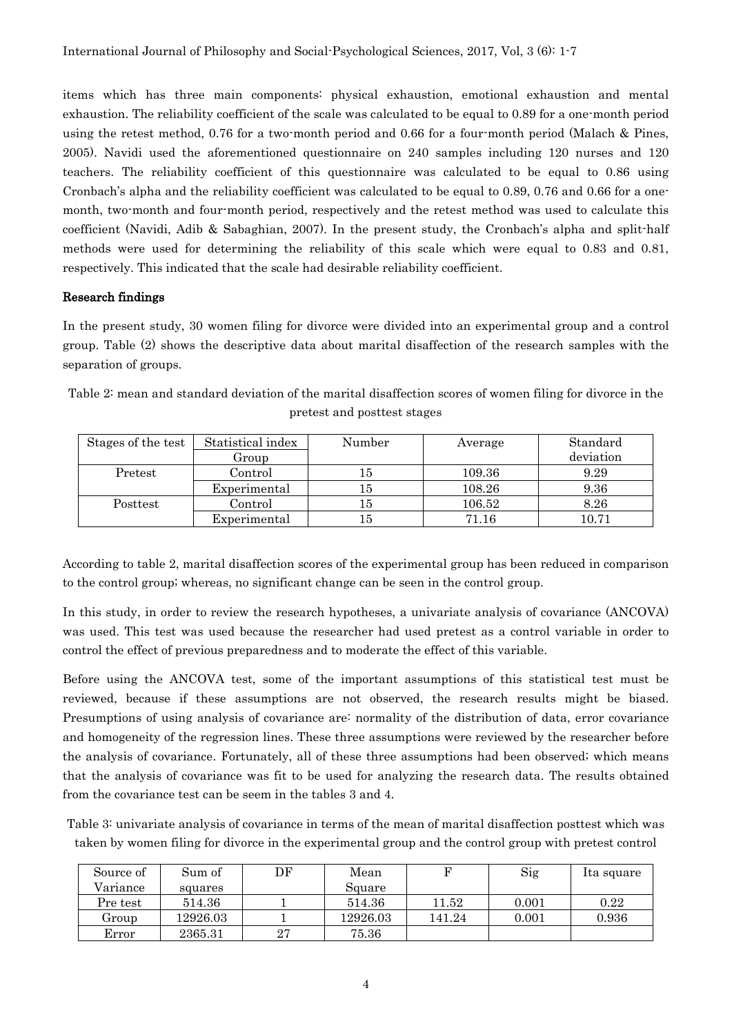items which has three main components: physical exhaustion, emotional exhaustion and mental exhaustion. The reliability coefficient of the scale was calculated to be equal to 0.89 for a one-month period using the retest method, 0.76 for a two-month period and 0.66 for a four-month period (Malach & Pines, 2005). Navidi used the aforementioned questionnaire on 240 samples including 120 nurses and 120 teachers. The reliability coefficient of this questionnaire was calculated to be equal to 0.86 using Cronbach's alpha and the reliability coefficient was calculated to be equal to 0.89, 0.76 and 0.66 for a onemonth, two-month and four-month period, respectively and the retest method was used to calculate this coefficient (Navidi, Adib & Sabaghian, 2007). In the present study, the Cronbach's alpha and split-half methods were used for determining the reliability of this scale which were equal to 0.83 and 0.81, respectively. This indicated that the scale had desirable reliability coefficient.

#### Research findings

In the present study, 30 women filing for divorce were divided into an experimental group and a control group. Table (2) shows the descriptive data about marital disaffection of the research samples with the separation of groups.

| Stages of the test | Statistical index | Number | Average | Standard  |  |  |  |  |  |  |
|--------------------|-------------------|--------|---------|-----------|--|--|--|--|--|--|
|                    | Group             |        |         | deviation |  |  |  |  |  |  |
| Control<br>Pretest |                   | ۱b     | 109.36  | 9.29      |  |  |  |  |  |  |
|                    | Experimental      | 15     | 108.26  | 9.36      |  |  |  |  |  |  |

Posttest | Control | 15 | 106.52 | 8.26

Experimental 15 10.71

Table 2: mean and standard deviation of the marital disaffection scores of women filing for divorce in the pretest and posttest stages

According to table 2, marital disaffection scores of the experimental group has been reduced in comparison to the control group; whereas, no significant change can be seen in the control group.

In this study, in order to review the research hypotheses, a univariate analysis of covariance (ANCOVA) was used. This test was used because the researcher had used pretest as a control variable in order to control the effect of previous preparedness and to moderate the effect of this variable.

Before using the ANCOVA test, some of the important assumptions of this statistical test must be reviewed, because if these assumptions are not observed, the research results might be biased. Presumptions of using analysis of covariance are: normality of the distribution of data, error covariance and homogeneity of the regression lines. These three assumptions were reviewed by the researcher before the analysis of covariance. Fortunately, all of these three assumptions had been observed; which means that the analysis of covariance was fit to be used for analyzing the research data. The results obtained from the covariance test can be seem in the tables 3 and 4.

Table 3: univariate analysis of covariance in terms of the mean of marital disaffection posttest which was taken by women filing for divorce in the experimental group and the control group with pretest control

| Source of | Sum of   | DF | Mean     | F         | Sig   | Ita square |
|-----------|----------|----|----------|-----------|-------|------------|
| Variance  | squares  |    | Square   |           |       |            |
| Pre test  | 514.36   |    | 514.36   | $11.52\,$ | 0.001 | 0.22       |
| Group     | 12926.03 |    | 12926.03 | 141.24    | 0.001 | 0.936      |
| Error     | 2365.31  | 27 | 75.36    |           |       |            |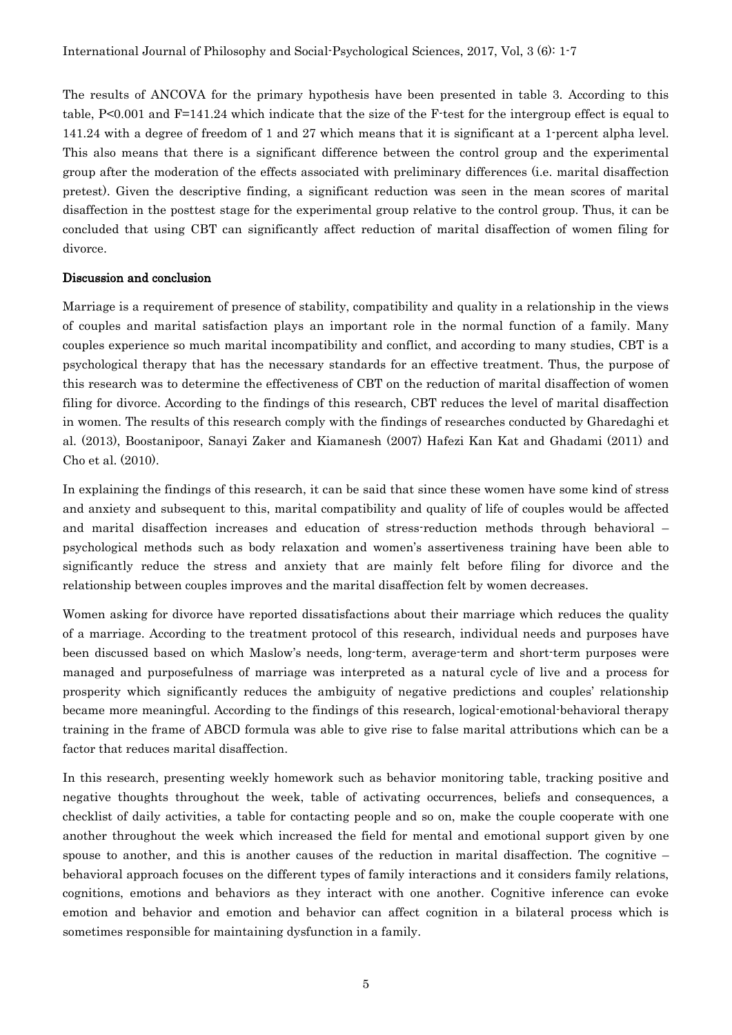The results of ANCOVA for the primary hypothesis have been presented in table 3. According to this table, P<0.001 and F=141.24 which indicate that the size of the F-test for the intergroup effect is equal to 141.24 with a degree of freedom of 1 and 27 which means that it is significant at a 1-percent alpha level. This also means that there is a significant difference between the control group and the experimental group after the moderation of the effects associated with preliminary differences (i.e. marital disaffection pretest). Given the descriptive finding, a significant reduction was seen in the mean scores of marital disaffection in the posttest stage for the experimental group relative to the control group. Thus, it can be concluded that using CBT can significantly affect reduction of marital disaffection of women filing for divorce.

#### Discussion and conclusion

Marriage is a requirement of presence of stability, compatibility and quality in a relationship in the views of couples and marital satisfaction plays an important role in the normal function of a family. Many couples experience so much marital incompatibility and conflict, and according to many studies, CBT is a psychological therapy that has the necessary standards for an effective treatment. Thus, the purpose of this research was to determine the effectiveness of CBT on the reduction of marital disaffection of women filing for divorce. According to the findings of this research, CBT reduces the level of marital disaffection in women. The results of this research comply with the findings of researches conducted by Gharedaghi et al. (2013), Boostanipoor, Sanayi Zaker and Kiamanesh (2007) Hafezi Kan Kat and Ghadami (2011) and Cho et al. (2010).

In explaining the findings of this research, it can be said that since these women have some kind of stress and anxiety and subsequent to this, marital compatibility and quality of life of couples would be affected and marital disaffection increases and education of stress-reduction methods through behavioral – psychological methods such as body relaxation and women's assertiveness training have been able to significantly reduce the stress and anxiety that are mainly felt before filing for divorce and the relationship between couples improves and the marital disaffection felt by women decreases.

Women asking for divorce have reported dissatisfactions about their marriage which reduces the quality of a marriage. According to the treatment protocol of this research, individual needs and purposes have been discussed based on which Maslow's needs, long-term, average-term and short-term purposes were managed and purposefulness of marriage was interpreted as a natural cycle of live and a process for prosperity which significantly reduces the ambiguity of negative predictions and couples' relationship became more meaningful. According to the findings of this research, logical-emotional-behavioral therapy training in the frame of ABCD formula was able to give rise to false marital attributions which can be a factor that reduces marital disaffection.

In this research, presenting weekly homework such as behavior monitoring table, tracking positive and negative thoughts throughout the week, table of activating occurrences, beliefs and consequences, a checklist of daily activities, a table for contacting people and so on, make the couple cooperate with one another throughout the week which increased the field for mental and emotional support given by one spouse to another, and this is another causes of the reduction in marital disaffection. The cognitive  $$ behavioral approach focuses on the different types of family interactions and it considers family relations, cognitions, emotions and behaviors as they interact with one another. Cognitive inference can evoke emotion and behavior and emotion and behavior can affect cognition in a bilateral process which is sometimes responsible for maintaining dysfunction in a family.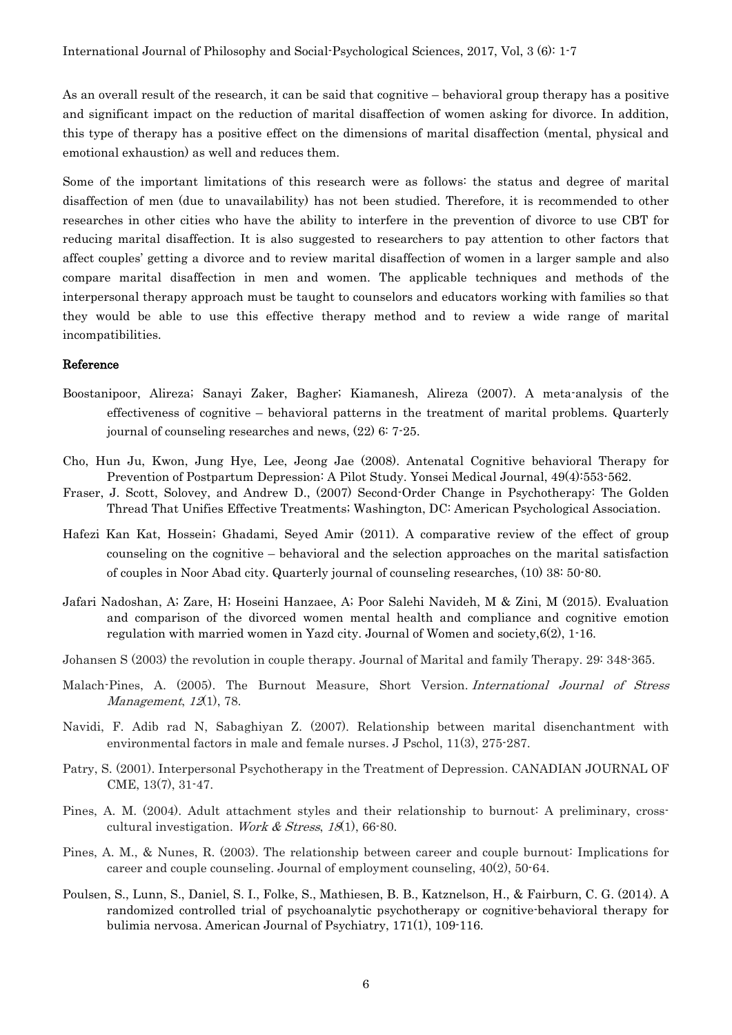As an overall result of the research, it can be said that cognitive – behavioral group therapy has a positive and significant impact on the reduction of marital disaffection of women asking for divorce. In addition, this type of therapy has a positive effect on the dimensions of marital disaffection (mental, physical and emotional exhaustion) as well and reduces them.

Some of the important limitations of this research were as follows: the status and degree of marital disaffection of men (due to unavailability) has not been studied. Therefore, it is recommended to other researches in other cities who have the ability to interfere in the prevention of divorce to use CBT for reducing marital disaffection. It is also suggested to researchers to pay attention to other factors that affect couples' getting a divorce and to review marital disaffection of women in a larger sample and also compare marital disaffection in men and women. The applicable techniques and methods of the interpersonal therapy approach must be taught to counselors and educators working with families so that they would be able to use this effective therapy method and to review a wide range of marital incompatibilities.

#### Reference

- Boostanipoor, Alireza; Sanayi Zaker, Bagher; Kiamanesh, Alireza (2007). A meta-analysis of the effectiveness of cognitive – behavioral patterns in the treatment of marital problems. Quarterly journal of counseling researches and news, (22) 6: 7-25.
- Cho, Hun Ju, Kwon, Jung Hye, Lee, Jeong Jae (2008). Antenatal Cognitive behavioral Therapy for Prevention of Postpartum Depression: A Pilot Study. Yonsei Medical Journal, 49(4):553-562.
- Fraser, J. Scott, Solovey, and Andrew D., (2007) Second-Order Change in Psychotherapy: The Golden Thread That Unifies Effective Treatments; Washington, DC: American Psychological Association.
- Hafezi Kan Kat, Hossein; Ghadami, Seyed Amir (2011). A comparative review of the effect of group counseling on the cognitive – behavioral and the selection approaches on the marital satisfaction of couples in Noor Abad city. Quarterly journal of counseling researches, (10) 38: 50-80.
- Jafari Nadoshan, A; Zare, H; Hoseini Hanzaee, A; Poor Salehi Navideh, M & Zini, M (2015). Evaluation and comparison of the divorced women mental health and compliance and cognitive emotion regulation with married women in Yazd city. Journal of Women and society,6(2), 1-16.
- Johansen S (2003) the revolution in couple therapy. Journal of Marital and family Therapy. 29: 348-365.
- Malach-Pines, A. (2005). The Burnout Measure, Short Version. International Journal of Stress Management, 12(1), 78.
- Navidi, F. Adib rad N, Sabaghiyan Z. (2007). Relationship between marital disenchantment with environmental factors in male and female nurses. J Pschol, 11(3), 275-287.
- Patry, S. (2001). Interpersonal Psychotherapy in the Treatment of Depression. CANADIAN JOURNAL OF CME, 13(7), 31-47.
- Pines, A. M. (2004). Adult attachment styles and their relationship to burnout: A preliminary, crosscultural investigation. Work & Stress,  $18(1)$ , 66-80.
- Pines, A. M., & Nunes, R. (2003). The relationship between career and couple burnout: Implications for career and couple counseling. Journal of employment counseling, 40(2), 50-64.
- Poulsen, S., Lunn, S., Daniel, S. I., Folke, S., Mathiesen, B. B., Katznelson, H., & Fairburn, C. G. (2014). A randomized controlled trial of psychoanalytic psychotherapy or cognitive-behavioral therapy for bulimia nervosa. American Journal of Psychiatry, 171(1), 109-116.